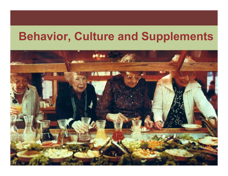### **Behavior, Culture and Supplements**

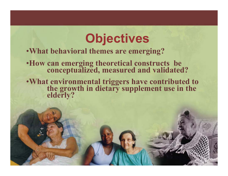# **Objectives**

#### •**What behavioral themes are emerging?**

- •**How can emerging theoretical constructs be conceptualized, measured and validated?**
- •**What environmental triggers have contributed to the growth in dietary supplement use in the elderly?**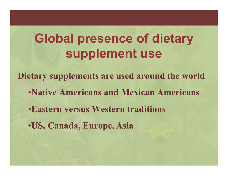# **Global presence of dietary supplement use**

**Dietary supplements are used around the world**

- •**Native Americans and Mexican Americans**
- •**Eastern versus Western traditions**
- •**US, Canada, Europe, Asia**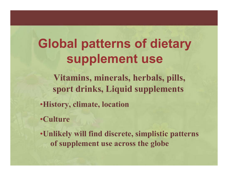# **Global patterns of dietary supplement use**

**Vitamins, minerals, herbals, pills, sport drinks, Liquid supplements**

- •**History, climate, location**
- •**Culture**
- •**Unlikely will find discrete, simplistic patterns of supplement use across the globe**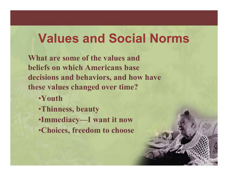### **Values and Social Norms**

**What are some of the values and beliefs on which Americans base decisions and behaviors, and how have these values changed over time?**

- •**Youth**
- •**Thinness, beauty**
- •**Immediacy—I want it now**
- •**Choices, freedom to choose**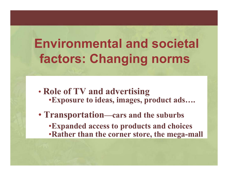# **Environmental and societal factors: Changing norms**

- • **Role of TV and advertising** •**Exposure to ideas, images, product ads….**
- **Transportation—cars and the suburbs** •**Expanded access to products and choices** •**Rather than the corner store, the mega-mall**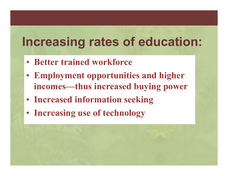# **Increasing rates of education:**

- **Better trained workforce**
- **Employment opportunities and higher incomes—thus increased buying power**
- **Increased information seeking**
- **Increasing use of technology**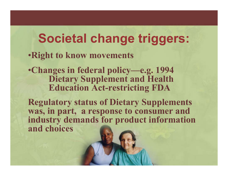### **Societal change triggers:**

#### •**Right to know movements**

•**Changes in federal policy—e.g. 1994 Dietary Supplement and Health Education Act-restricting FDA**

**Regulatory status of Dietary Supplements was, in part, a response to consumer and industry demands for product information and choices**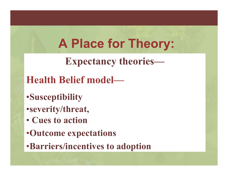# **A Place for Theory:**

**Expectancy theories—**

#### **Health Belief model—**

- •**Susceptibility**
- •**severity/threat,**
- **Cues to action**
- •**Outcome expectations**
- •**Barriers/incentives to adoption**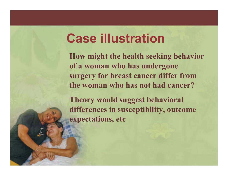#### **Case illustration**

**How might the health seeking behavior of a woman who has undergone surgery for breast cancer differ from the woman who has not had cancer?** 

**Theory would suggest behavioral differences in susceptibility, outcome expectations, etc**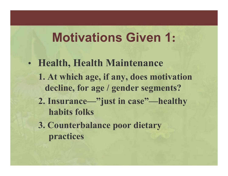# **Motivations Given 1:**

- $\bullet$  **Health, Health Maintenance 1. At which age, if any, does motivation decline, for age / gender segments? 2. Insurance—"just in case"—healthy habits folks**
	- **3. Counterbalance poor dietary practices**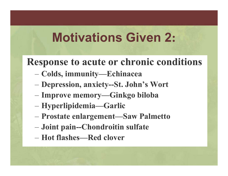# **Motivations Given 2:**

#### **Response to acute or chronic conditions**

- **Colds, immunity—Echinacea**
- **Depression, anxiety--St. John's Wort**
- **Improve memory—Ginkgo biloba**
- **Hyperlipidemia—Garlic**
- **Prostate enlargement—Saw Palmetto**
- **Joint pain--Chondroitin sulfate**
- **Hot flashes—Red clover**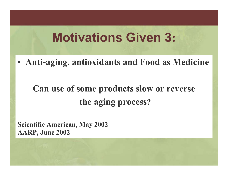# **Motivations Given 3:**

• **Anti-aging, antioxidants and Food as Medicine**

#### **Can use of some products slow or reverse the aging process ?**

**Scientific American, May 2002 AARP, June 2002**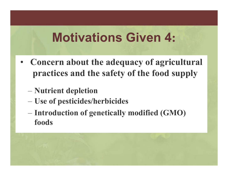# **Motivations Given 4:**

- **Concern about the adequacy of agricultural practices and the safety of the food supply**
	- **Nutrient depletion**
	- **Use of pesticides/herbicides**
	- **Introduction of genetically modified (GMO) foods**

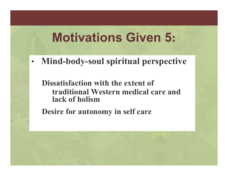# **Motivations Given 5:**

•**Mind-body-soul spiritual perspective**

**Dissatisfaction with the extent of traditional Western medical care and lack of holism** 

**Desire for autonomy in self care**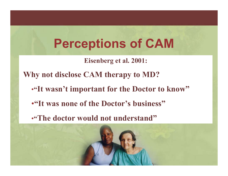# **Perceptions of CAM**

**Eisenberg et al. 2001:** 

**Why not disclose CAM therapy to MD?**

- **"It wasn't important for the Doctor to know"**
- •**"It was none of the Doctor's business"**
- **"The doctor would not understand"**

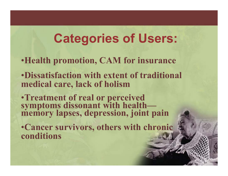#### **Categories of Users:**

- •**Health promotion, CAM for insurance**
- •**Dissatisfaction with extent of traditional medical care, lack of holism**
- •**Treatment of real or perceived symptoms dissonant with health memory lapses, depression, joint pain**
- •**Cancer survivors, others with chronic conditions**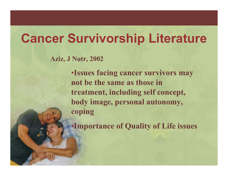### **Cancer Survivorship Literature**

**Aziz, J Nutr, 2002**

•**Issues facing cancer survivors may not be the same as those in treatment, including self concept, body image, personal autonomy, coping**

•**Importance of Quality of Life issues**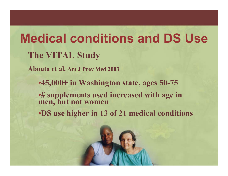# **Medical conditions and DS UseThe VITAL Study**

**Abouta et al. Am J Prev Med 2003**

•**45,000+ in Washington state, ages 50-75**

•**# supplements used increased with age in men, but not women**

•**DS use higher in 13 of 21 medical conditions** 

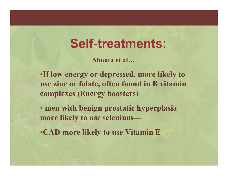#### **Self-treatments:**

**Abouta et al…**

•**If low energy or depressed, more likely to use zinc or folate, often found in B vitamin complexes (Energy boosters)**

• **men with benign prostatic hyperplasia more likely to use selenium—**

•**CAD more likely to use Vitamin E**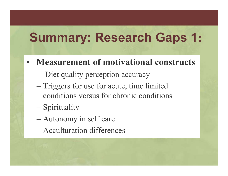#### **Summary: Research Gaps 1 :**

#### •**Measurement of motivational constructs**

- Diet quality perception accuracy
- Triggers for use for acute, time limited conditions versus for chronic conditions
- Spirituality
- Autonomy in self care
- –Acculturation differences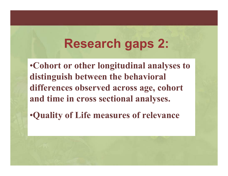#### **Research gaps 2:**

•**Cohort or other longitudinal analyses to distinguish between the behavioral differences observed across age, cohort and time in cross sectional analyses.**

•**Quality of Life measures of relevance**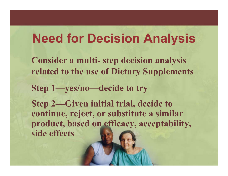### **Need for Decision Analysis**

**Consider a multi- step decision analysis related to the use of Dietary Supplements**

**Step 1—yes/no—decide to try**

**Step 2—Given initial trial, decide to continue, reject, or substitute a similar product, based on efficacy, acceptability, side effects**